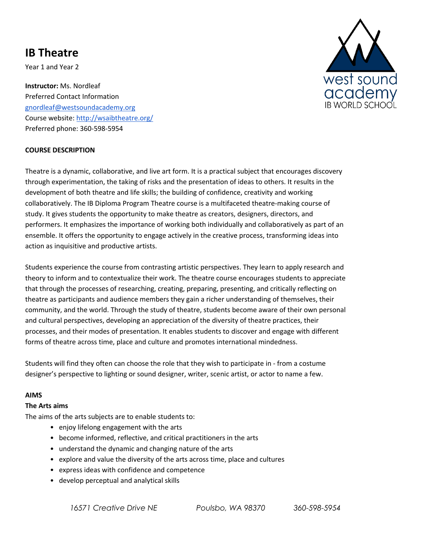# **IB Theatre**

Year 1 and Year 2

**Instructor:** Ms. Nordleaf Preferred Contact Information gnordleaf@westsoundacademy.org Course website: http://wsaibtheatre.org/ Preferred phone: 360-598-5954



#### **COURSE DESCRIPTION**

Theatre is a dynamic, collaborative, and live art form. It is a practical subject that encourages discovery through experimentation, the taking of risks and the presentation of ideas to others. It results in the development of both theatre and life skills; the building of confidence, creativity and working collaboratively. The IB Diploma Program Theatre course is a multifaceted theatre-making course of study. It gives students the opportunity to make theatre as creators, designers, directors, and performers. It emphasizes the importance of working both individually and collaboratively as part of an ensemble. It offers the opportunity to engage actively in the creative process, transforming ideas into action as inquisitive and productive artists.

Students experience the course from contrasting artistic perspectives. They learn to apply research and theory to inform and to contextualize their work. The theatre course encourages students to appreciate that through the processes of researching, creating, preparing, presenting, and critically reflecting on theatre as participants and audience members they gain a richer understanding of themselves, their community, and the world. Through the study of theatre, students become aware of their own personal and cultural perspectives, developing an appreciation of the diversity of theatre practices, their processes, and their modes of presentation. It enables students to discover and engage with different forms of theatre across time, place and culture and promotes international mindedness.

Students will find they often can choose the role that they wish to participate in - from a costume designer's perspective to lighting or sound designer, writer, scenic artist, or actor to name a few.

#### **AIMS**

#### **The Arts aims**

The aims of the arts subjects are to enable students to:

- enjoy lifelong engagement with the arts
- become informed, reflective, and critical practitioners in the arts
- understand the dynamic and changing nature of the arts
- explore and value the diversity of the arts across time, place and cultures
- express ideas with confidence and competence
- develop perceptual and analytical skills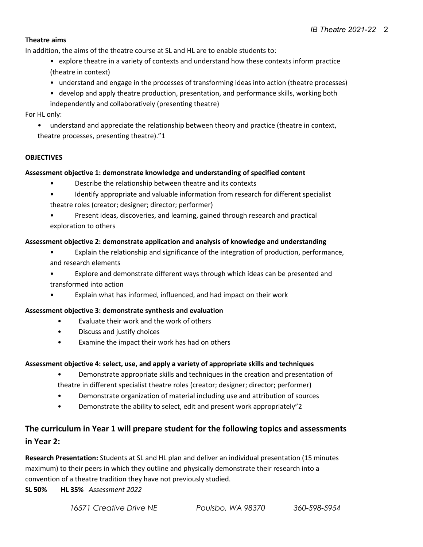#### **Theatre aims**

In addition, the aims of the theatre course at SL and HL are to enable students to:

- explore theatre in a variety of contexts and understand how these contexts inform practice (theatre in context)
- understand and engage in the processes of transforming ideas into action (theatre processes)
- develop and apply theatre production, presentation, and performance skills, working both independently and collaboratively (presenting theatre)

#### For HL only:

• understand and appreciate the relationship between theory and practice (theatre in context, theatre processes, presenting theatre)."1

#### **OBJECTIVES**

#### **Assessment objective 1: demonstrate knowledge and understanding of specified content**

- Describe the relationship between theatre and its contexts
- Identify appropriate and valuable information from research for different specialist theatre roles (creator; designer; director; performer)
- Present ideas, discoveries, and learning, gained through research and practical exploration to others

#### **Assessment objective 2: demonstrate application and analysis of knowledge and understanding**

- Explain the relationship and significance of the integration of production, performance, and research elements
- Explore and demonstrate different ways through which ideas can be presented and
- transformed into action
- Explain what has informed, influenced, and had impact on their work

#### **Assessment objective 3: demonstrate synthesis and evaluation**

- Evaluate their work and the work of others
- Discuss and justify choices
- Examine the impact their work has had on others

#### **Assessment objective 4: select, use, and apply a variety of appropriate skills and techniques**

- Demonstrate appropriate skills and techniques in the creation and presentation of
- theatre in different specialist theatre roles (creator; designer; director; performer)
- Demonstrate organization of material including use and attribution of sources
- Demonstrate the ability to select, edit and present work appropriately"2

# **The curriculum in Year 1 will prepare student for the following topics and assessments in Year 2:**

**Research Presentation:** Students at SL and HL plan and deliver an individual presentation (15 minutes maximum) to their peers in which they outline and physically demonstrate their research into a convention of a theatre tradition they have not previously studied.

**SL 50% HL 35%** *Assessment 2022*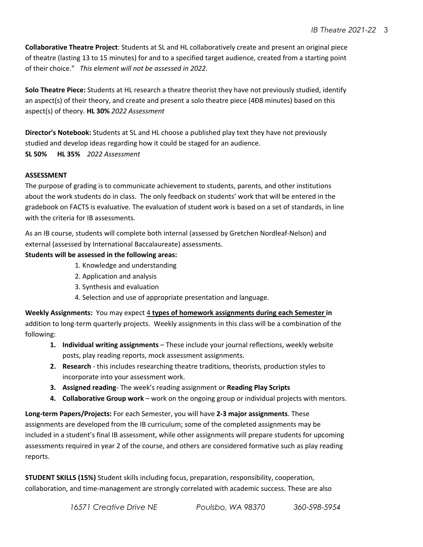**Collaborative Theatre Project**: Students at SL and HL collaboratively create and present an original piece of theatre (lasting 13 to 15 minutes) for and to a specified target audience, created from a starting point of their choice." *This element will not be assessed in 2022.*

**Solo Theatre Piece:** Students at HL research a theatre theorist they have not previously studied, identify an aspect(s) of their theory, and create and present a solo theatre piece (4Ð8 minutes) based on this aspect(s) of theory. **HL 30%** *2022 Assessment*

**Director's Notebook:** Students at SL and HL choose a published play text they have not previously studied and develop ideas regarding how it could be staged for an audience.

**SL 50% HL 35%** *2022 Assessment*

# **ASSESSMENT**

The purpose of grading is to communicate achievement to students, parents, and other institutions about the work students do in class. The only feedback on students' work that will be entered in the gradebook on FACTS is evaluative. The evaluation of student work is based on a set of standards, in line with the criteria for IB assessments.

As an IB course, students will complete both internal (assessed by Gretchen Nordleaf-Nelson) and external (assessed by International Baccalaureate) assessments.

# **Students will be assessed in the following areas:**

- 1. Knowledge and understanding
- 2. Application and analysis
- 3. Synthesis and evaluation
- 4. Selection and use of appropriate presentation and language.

**Weekly Assignments:** You may expect 4 **types of homework assignments during each Semester in** addition to long-term quarterly projects. Weekly assignments in this class will be a combination of the following:

- **1. Individual writing assignments**  These include your journal reflections, weekly website posts, play reading reports, mock assessment assignments.
- **2. Research**  this includes researching theatre traditions, theorists, production styles to incorporate into your assessment work.
- **3. Assigned reading** The week's reading assignment or **Reading Play Scripts**
- **4. Collaborative Group work** work on the ongoing group or individual projects with mentors.

**Long-term Papers/Projects:** For each Semester, you will have **2-3 major assignments**. These assignments are developed from the IB curriculum; some of the completed assignments may be included in a student's final IB assessment, while other assignments will prepare students for upcoming assessments required in year 2 of the course, and others are considered formative such as play reading reports.

**STUDENT SKILLS (15%)** Student skills including focus, preparation, responsibility, cooperation, collaboration, and time-management are strongly correlated with academic success. These are also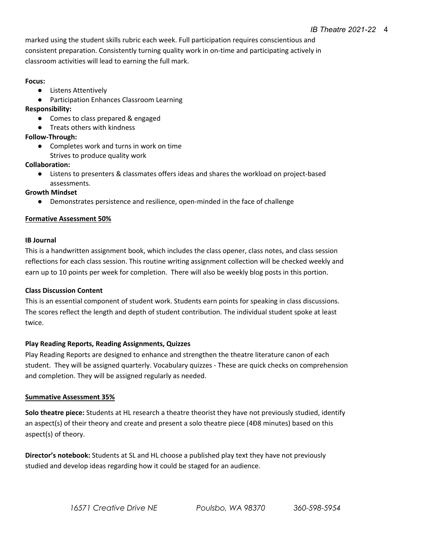marked using the student skills rubric each week. Full participation requires conscientious and consistent preparation. Consistently turning quality work in on-time and participating actively in classroom activities will lead to earning the full mark.

#### **Focus:**

- Listens Attentively
- Participation Enhances Classroom Learning

#### **Responsibility:**

- Comes to class prepared & engaged
- Treats others with kindness

#### **Follow-Through:**

● Completes work and turns in work on time Strives to produce quality work

#### **Collaboration:**

● Listens to presenters & classmates offers ideas and shares the workload on project-based assessments.

#### **Growth Mindset**

● Demonstrates persistence and resilience, open-minded in the face of challenge

#### **Formative Assessment 50%**

#### **IB Journal**

This is a handwritten assignment book, which includes the class opener, class notes, and class session reflections for each class session. This routine writing assignment collection will be checked weekly and earn up to 10 points per week for completion. There will also be weekly blog posts in this portion.

#### **Class Discussion Content**

This is an essential component of student work. Students earn points for speaking in class discussions. The scores reflect the length and depth of student contribution. The individual student spoke at least twice.

#### **Play Reading Reports, Reading Assignments, Quizzes**

Play Reading Reports are designed to enhance and strengthen the theatre literature canon of each student. They will be assigned quarterly. Vocabulary quizzes - These are quick checks on comprehension and completion. They will be assigned regularly as needed.

#### **Summative Assessment 35%**

**Solo theatre piece:** Students at HL research a theatre theorist they have not previously studied, identify an aspect(s) of their theory and create and present a solo theatre piece (4Ð8 minutes) based on this aspect(s) of theory.

**Director's notebook:** Students at SL and HL choose a published play text they have not previously studied and develop ideas regarding how it could be staged for an audience.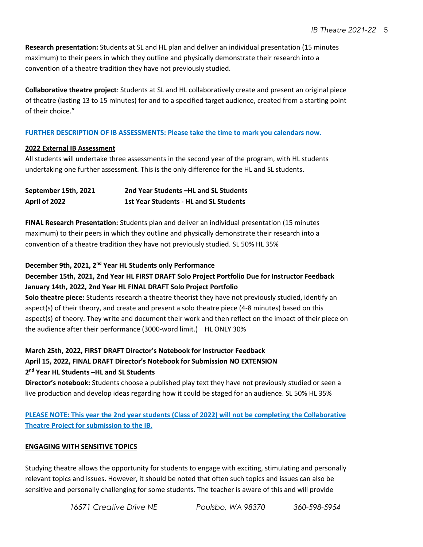**Research presentation:** Students at SL and HL plan and deliver an individual presentation (15 minutes maximum) to their peers in which they outline and physically demonstrate their research into a convention of a theatre tradition they have not previously studied.

**Collaborative theatre project**: Students at SL and HL collaboratively create and present an original piece of theatre (lasting 13 to 15 minutes) for and to a specified target audience, created from a starting point of their choice."

# **FURTHER DESCRIPTION OF IB ASSESSMENTS: Please take the time to mark you calendars now.**

#### **2022 External IB Assessment**

All students will undertake three assessments in the second year of the program, with HL students undertaking one further assessment. This is the only difference for the HL and SL students.

| September 15th, 2021 | 2nd Year Students –HL and SL Students         |
|----------------------|-----------------------------------------------|
| April of 2022        | <b>1st Year Students - HL and SL Students</b> |

**FINAL Research Presentation:** Students plan and deliver an individual presentation (15 minutes maximum) to their peers in which they outline and physically demonstrate their research into a convention of a theatre tradition they have not previously studied. SL 50% HL 35%

#### **December 9th, 2021, 2nd Year HL Students only Performance**

# **December 15th, 2021, 2nd Year HL FIRST DRAFT Solo Project Portfolio Due for Instructor Feedback January 14th, 2022, 2nd Year HL FINAL DRAFT Solo Project Portfolio**

**Solo theatre piece:** Students research a theatre theorist they have not previously studied, identify an aspect(s) of their theory, and create and present a solo theatre piece (4-8 minutes) based on this aspect(s) of theory. They write and document their work and then reflect on the impact of their piece on the audience after their performance (3000-word limit.) HL ONLY 30%

# **March 25th, 2022, FIRST DRAFT Director's Notebook for Instructor Feedback April 15, 2022, FINAL DRAFT Director's Notebook for Submission NO EXTENSION 2nd Year HL Students –HL and SL Students**

**Director's notebook:** Students choose a published play text they have not previously studied or seen a live production and develop ideas regarding how it could be staged for an audience. SL 50% HL 35%

**PLEASE NOTE: This year the 2nd year students (Class of 2022) will not be completing the Collaborative Theatre Project for submission to the IB.** 

# **ENGAGING WITH SENSITIVE TOPICS**

Studying theatre allows the opportunity for students to engage with exciting, stimulating and personally relevant topics and issues. However, it should be noted that often such topics and issues can also be sensitive and personally challenging for some students. The teacher is aware of this and will provide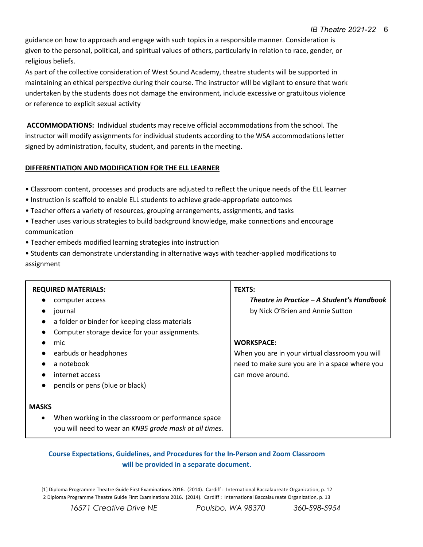guidance on how to approach and engage with such topics in a responsible manner. Consideration is given to the personal, political, and spiritual values of others, particularly in relation to race, gender, or religious beliefs.

As part of the collective consideration of West Sound Academy, theatre students will be supported in maintaining an ethical perspective during their course. The instructor will be vigilant to ensure that work undertaken by the students does not damage the environment, include excessive or gratuitous violence or reference to explicit sexual activity

**ACCOMMODATIONS:** Individual students may receive official accommodations from the school. The instructor will modify assignments for individual students according to the WSA accommodations letter signed by administration, faculty, student, and parents in the meeting.

#### **DIFFERENTIATION AND MODIFICATION FOR THE ELL LEARNER**

- Classroom content, processes and products are adjusted to reflect the unique needs of the ELL learner
- Instruction is scaffold to enable ELL students to achieve grade-appropriate outcomes
- Teacher offers a variety of resources, grouping arrangements, assignments, and tasks
- Teacher uses various strategies to build background knowledge, make connections and encourage communication
- Teacher embeds modified learning strategies into instruction
- Students can demonstrate understanding in alternative ways with teacher-applied modifications to assignment

| <b>REQUIRED MATERIALS:</b>                                                                                                | <b>TEXTS:</b>                                   |
|---------------------------------------------------------------------------------------------------------------------------|-------------------------------------------------|
| computer access<br>$\bullet$                                                                                              | Theatre in Practice – A Student's Handbook      |
| journal<br>$\bullet$                                                                                                      | by Nick O'Brien and Annie Sutton                |
| a folder or binder for keeping class materials<br>$\bullet$                                                               |                                                 |
| Computer storage device for your assignments.                                                                             |                                                 |
| mic<br>$\bullet$                                                                                                          | <b>WORKSPACE:</b>                               |
| earbuds or headphones                                                                                                     | When you are in your virtual classroom you will |
| a notebook<br>$\bullet$                                                                                                   | need to make sure you are in a space where you  |
| internet access                                                                                                           | can move around.                                |
| pencils or pens (blue or black)<br>$\bullet$                                                                              |                                                 |
|                                                                                                                           |                                                 |
| <b>MASKS</b>                                                                                                              |                                                 |
| When working in the classroom or performance space<br>$\bullet$<br>you will need to wear an KN95 grade mask at all times. |                                                 |

# **Course Expectations, Guidelines, and Procedures for the In-Person and Zoom Classroom will be provided in a separate document.**

[1] Diploma Programme Theatre Guide First Examinations 2016. (2014). Cardiff : International Baccalaureate Organization, p. 12 2 Diploma Programme Theatre Guide First Examinations 2016. (2014). Cardiff : International Baccalaureate Organization, p. 13